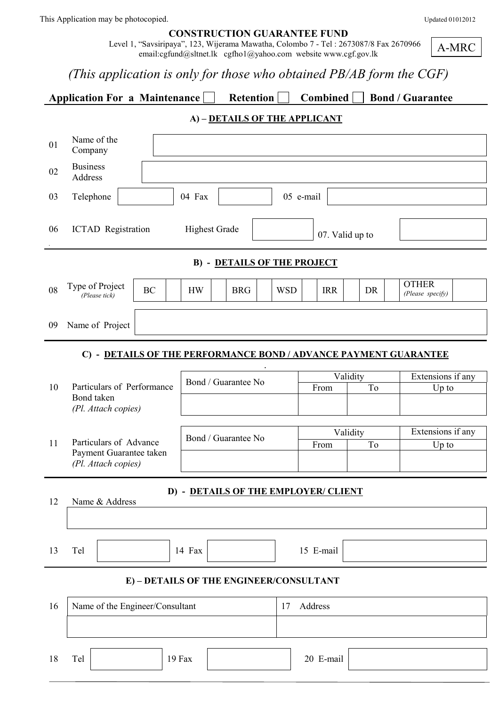| <b>CONSTRUCTION GUARANTEE FUND</b> |  |
|------------------------------------|--|
|                                    |  |

 Level 1, "Savsiripaya", 123, Wijerama Mawatha, Colombo 7 - Tel : 2673087/8 Fax 2670966 email:cgfund@sltnet.lk cgfho1@yahoo.com website www.cgf.gov.lk

A-MRC

# *(This application is only for those who obtained PB/AB form the CGF)*

Application For a Maintenance Retention Combined Bond / Guarantee

### **A) – DETAILS OF THE APPLICANT**

| 01                                             | Name of the<br>Company                                           |                                    |            |                 |                   |                                  |  |  |
|------------------------------------------------|------------------------------------------------------------------|------------------------------------|------------|-----------------|-------------------|----------------------------------|--|--|
| 02                                             | <b>Business</b><br>Address                                       |                                    |            |                 |                   |                                  |  |  |
| 03                                             | Telephone                                                        | 04 Fax                             |            | 05 e-mail       |                   |                                  |  |  |
| 06                                             | <b>ICTAD</b> Registration                                        | <b>Highest Grade</b>               |            | 07. Valid up to |                   |                                  |  |  |
|                                                |                                                                  | <b>B) - DETAILS OF THE PROJECT</b> |            |                 |                   |                                  |  |  |
| 08                                             | Type of Project<br><b>BC</b><br>(Please tick)                    | <b>HW</b><br><b>BRG</b>            | <b>WSD</b> | <b>IRR</b>      | DR                | <b>OTHER</b><br>(Please specify) |  |  |
| 09                                             | Name of Project                                                  |                                    |            |                 |                   |                                  |  |  |
|                                                | C) - DETAILS OF THE PERFORMANCE BOND / ADVANCE PAYMENT GUARANTEE |                                    |            |                 |                   |                                  |  |  |
|                                                |                                                                  | Bond / Guarantee No                |            | Validity        | Extensions if any |                                  |  |  |
|                                                | Particulars of Performance<br>10<br>Bond taken                   |                                    |            | From            |                   | $Up$ to                          |  |  |
|                                                | (Pl. Attach copies)                                              |                                    |            |                 |                   |                                  |  |  |
| 11                                             | Bond / Guarantee No<br>Particulars of Advance                    |                                    |            | From            | Validity<br>To    | Extensions if any<br>Up to       |  |  |
| Payment Guarantee taken<br>(Pl. Attach copies) |                                                                  |                                    |            |                 |                   |                                  |  |  |
| D) - DETAILS OF THE EMPLOYER/ CLIENT           |                                                                  |                                    |            |                 |                   |                                  |  |  |
|                                                | 12<br>Name & Address                                             |                                    |            |                 |                   |                                  |  |  |
|                                                |                                                                  |                                    |            |                 |                   |                                  |  |  |
| 13                                             | Tel                                                              | 14 Fax                             |            | 15 E-mail       |                   |                                  |  |  |
| E) - DETAILS OF THE ENGINEER/CONSULTANT        |                                                                  |                                    |            |                 |                   |                                  |  |  |
| 16                                             | Name of the Engineer/Consultant                                  |                                    | 17         | Address         |                   |                                  |  |  |
|                                                |                                                                  |                                    |            |                 |                   |                                  |  |  |
| 18                                             | Tel<br>19 Fax                                                    |                                    |            | 20 E-mail       |                   |                                  |  |  |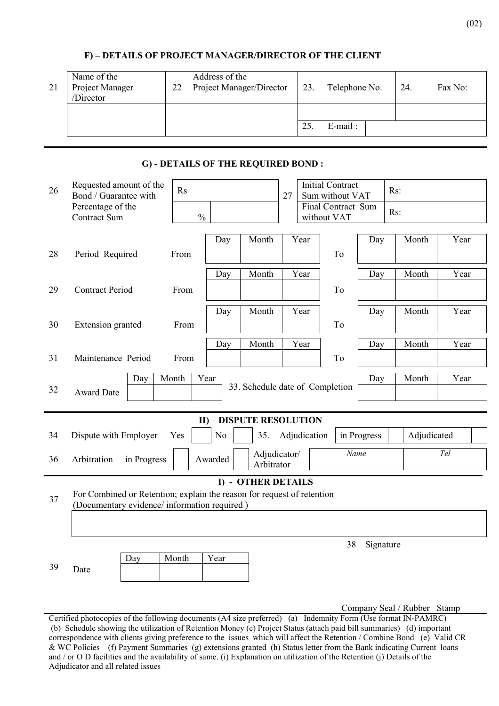| 21 | Name of the<br>Project Manager<br>/Director | Address of the<br>Project Manager/Director<br>22 |  | 23. | Telephone No. | 24. | Fax No: |
|----|---------------------------------------------|--------------------------------------------------|--|-----|---------------|-----|---------|
|    |                                             |                                                  |  |     |               |     |         |
|    |                                             |                                                  |  | 25  | $E$ -mail:    |     |         |

#### **F) – DETAILS OF PROJECT MANAGER/DIRECTOR OF THE CLIENT**

#### **G) - DETAILS OF THE REQUIRED BOND :**

| 26                 | Requested amount of the<br>Bond / Guarantee with                                                                       | Rs            |         |                                 | 27 |              | <b>Initial Contract</b><br>Sum without VAT |             | Rs: |             |      |  |
|--------------------|------------------------------------------------------------------------------------------------------------------------|---------------|---------|---------------------------------|----|--------------|--------------------------------------------|-------------|-----|-------------|------|--|
|                    | Percentage of the<br>Contract Sum                                                                                      | $\frac{0}{0}$ |         |                                 |    |              | Final Contract Sum<br>without VAT          |             | Rs: |             |      |  |
|                    |                                                                                                                        |               | Day     | Month                           |    | Year         |                                            | Day         |     | Month       | Year |  |
| 28                 | Period Required                                                                                                        | From          |         |                                 |    |              | T <sub>o</sub>                             |             |     |             |      |  |
|                    |                                                                                                                        |               | Day     | Month                           |    | Year         |                                            | Day         |     | Month       | Year |  |
| 29                 | <b>Contract Period</b>                                                                                                 | From          |         |                                 |    |              | To                                         |             |     |             |      |  |
|                    |                                                                                                                        |               | Day     | Month                           |    | Year         |                                            | Day         |     | Month       | Year |  |
| 30                 | <b>Extension</b> granted                                                                                               | From          |         |                                 |    |              | To                                         |             |     |             |      |  |
|                    |                                                                                                                        |               | Day     | Month                           |    | Year         |                                            | Day         |     | Month       | Year |  |
| 31                 | Maintenance Period                                                                                                     | From          |         |                                 |    |              | To                                         |             |     |             |      |  |
|                    | Month<br>Day                                                                                                           |               | Year    | 33. Schedule date of Completion |    |              |                                            | Day         |     | Month       | Year |  |
| 32                 | <b>Award Date</b>                                                                                                      |               |         |                                 |    |              |                                            |             |     |             |      |  |
|                    | H) - DISPUTE RESOLUTION                                                                                                |               |         |                                 |    |              |                                            |             |     |             |      |  |
| 34                 | Dispute with Employer<br>Yes                                                                                           |               | No      | 35.                             |    | Adjudication |                                            | in Progress |     | Adjudicated |      |  |
| 36                 | Arbitration<br>in Progress                                                                                             |               | Awarded | Adjudicator/<br>Arbitrator      |    |              | Name                                       |             |     |             | Tel  |  |
| I) - OTHER DETAILS |                                                                                                                        |               |         |                                 |    |              |                                            |             |     |             |      |  |
| 37                 | For Combined or Retention; explain the reason for request of retention<br>(Documentary evidence/ information required) |               |         |                                 |    |              |                                            |             |     |             |      |  |
|                    |                                                                                                                        |               |         |                                 |    |              |                                            |             |     |             |      |  |
|                    |                                                                                                                        |               |         |                                 |    |              | 38                                         | Signature   |     |             |      |  |
| 39                 | Month<br>Day                                                                                                           |               | Year    |                                 |    |              |                                            |             |     |             |      |  |
|                    | Date                                                                                                                   |               |         |                                 |    |              |                                            |             |     |             |      |  |
|                    |                                                                                                                        |               |         |                                 |    |              |                                            |             |     |             |      |  |

Company Seal / Rubber Stamp

Certified photocopies of the following documents (A4 size preferred) (a) Indemnity Form (Use format IN-PAMRC) (b) Schedule showing the utilization of Retention Money (c) Project Status (attach paid bill summaries) (d) important correspondence with clients giving preference to the issues which will affect the Retention / Combine Bond (e) Valid CR & WC Policies (f) Payment Summaries (g) extensions granted (h) Status letter from the Bank indicating Current loans and / or O D facilities and the availability of same. (i) Explanation on utilization of the Retention (j) Details of the Adjudicator and all related issues